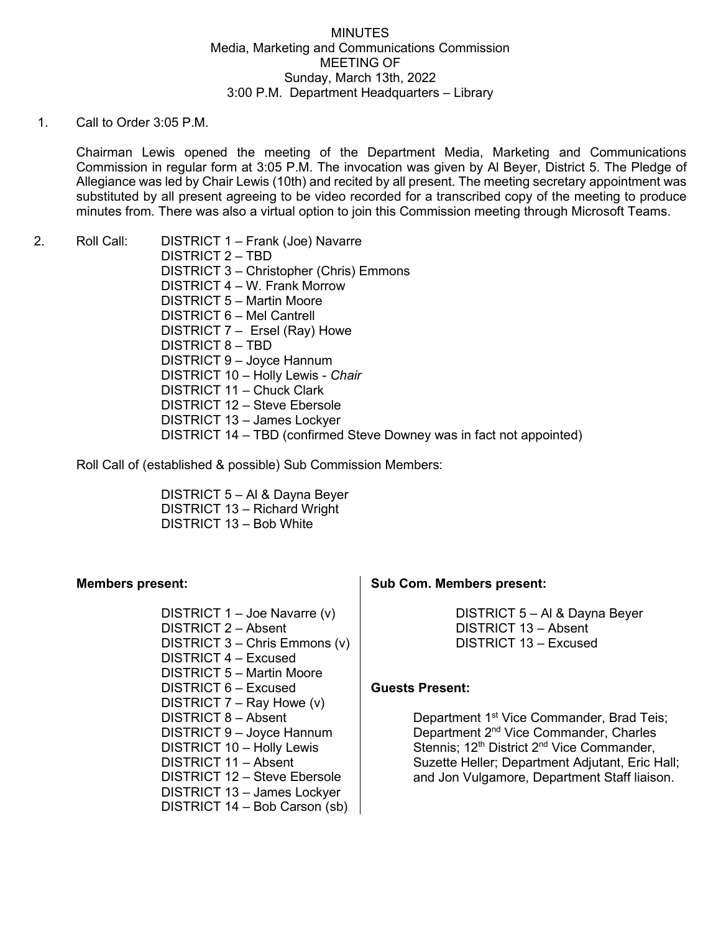## **MINUTES** Media, Marketing and Communications Commission MEETING OF Sunday, March 13th, 2022 3:00 P.M. Department Headquarters – Library

## 1. Call to Order 3:05 P.M.

Chairman Lewis opened the meeting of the Department Media, Marketing and Communications Commission in regular form at 3:05 P.M. The invocation was given by Al Beyer, District 5. The Pledge of Allegiance was led by Chair Lewis (10th) and recited by all present. The meeting secretary appointment was substituted by all present agreeing to be video recorded for a transcribed copy of the meeting to produce minutes from. There was also a virtual option to join this Commission meeting through Microsoft Teams.

2. Roll Call: DISTRICT 1 – Frank (Joe) Navarre

DISTRICT 2 – TBD DISTRICT 3 – Christopher (Chris) Emmons DISTRICT 4 – W. Frank Morrow DISTRICT 5 – Martin Moore DISTRICT 6 – Mel Cantrell DISTRICT 7 – Ersel (Ray) Howe DISTRICT 8 – TBD DISTRICT 9 – Joyce Hannum DISTRICT 10 – Holly Lewis - *Chair* DISTRICT 11 – Chuck Clark DISTRICT 12 – Steve Ebersole DISTRICT 13 – James Lockyer DISTRICT 14 – TBD (confirmed Steve Downey was in fact not appointed)

Roll Call of (established & possible) Sub Commission Members:

DISTRICT 5 – Al & Dayna Beyer DISTRICT 13 – Richard Wright DISTRICT 13 – Bob White

# **Members present:**

DISTRICT 1 – Joe Navarre (v) DISTRICT 2 – Absent DISTRICT 3 – Chris Emmons (v) DISTRICT 4 – Excused DISTRICT 5 – Martin Moore DISTRICT 6 – Excused DISTRICT 7 – Ray Howe (v) DISTRICT 8 – Absent DISTRICT 9 – Joyce Hannum DISTRICT 10 – Holly Lewis DISTRICT 11 – Absent DISTRICT 12 – Steve Ebersole DISTRICT 13 – James Lockyer DISTRICT 14 – Bob Carson (sb)

# **Sub Com. Members present:**

DISTRICT 5 – Al & Dayna Beyer DISTRICT 13 – Absent DISTRICT 13 – Excused

### **Guests Present:**

Department 1<sup>st</sup> Vice Commander, Brad Teis; Department 2nd Vice Commander, Charles Stennis; 12<sup>th</sup> District 2<sup>nd</sup> Vice Commander, Suzette Heller; Department Adjutant, Eric Hall; and Jon Vulgamore, Department Staff liaison.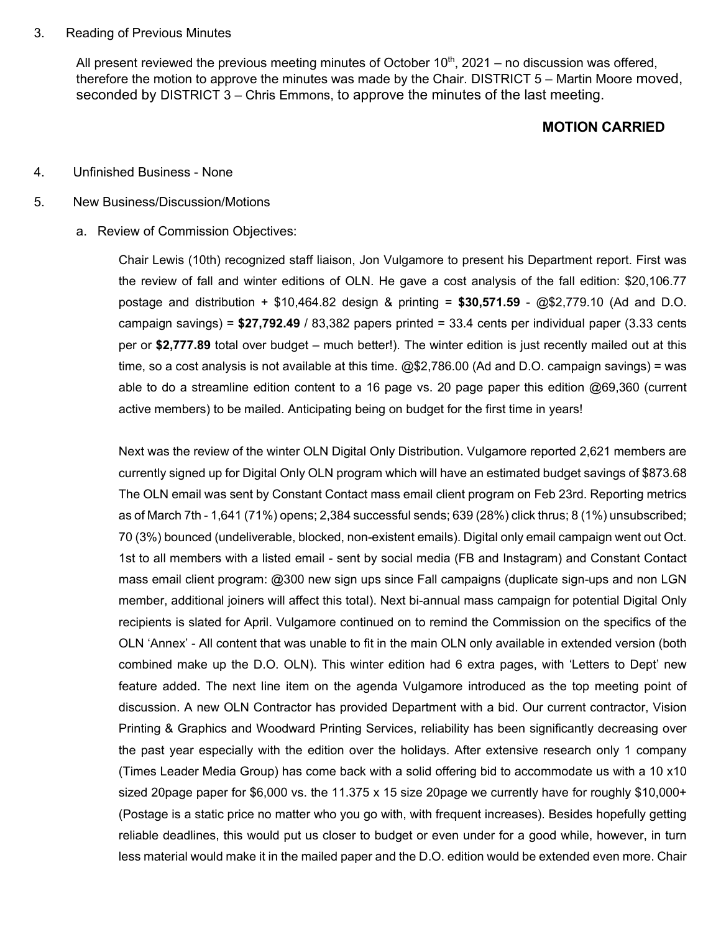#### 3. Reading of Previous Minutes

All present reviewed the previous meeting minutes of October  $10<sup>th</sup>$ , 2021 – no discussion was offered, therefore the motion to approve the minutes was made by the Chair. DISTRICT 5 – Martin Moore moved, seconded by DISTRICT 3 – Chris Emmons, to approve the minutes of the last meeting.

# **MOTION CARRIED**

#### 4. Unfinished Business - None

#### 5. New Business/Discussion/Motions

### a. Review of Commission Objectives:

Chair Lewis (10th) recognized staff liaison, Jon Vulgamore to present his Department report. First was the review of fall and winter editions of OLN. He gave a cost analysis of the fall edition: \$20,106.77 postage and distribution + \$10,464.82 design & printing = **\$30,571.59** - @\$2,779.10 (Ad and D.O. campaign savings) = **\$27,792.49** / 83,382 papers printed = 33.4 cents per individual paper (3.33 cents per or **\$2,777.89** total over budget – much better!). The winter edition is just recently mailed out at this time, so a cost analysis is not available at this time. @\$2,786.00 (Ad and D.O. campaign savings) = was able to do a streamline edition content to a 16 page vs. 20 page paper this edition @69,360 (current active members) to be mailed. Anticipating being on budget for the first time in years!

Next was the review of the winter OLN Digital Only Distribution. Vulgamore reported 2,621 members are currently signed up for Digital Only OLN program which will have an estimated budget savings of \$873.68 The OLN email was sent by Constant Contact mass email client program on Feb 23rd. Reporting metrics as of March 7th - 1,641 (71%) opens; 2,384 successful sends; 639 (28%) click thrus; 8 (1%) unsubscribed; 70 (3%) bounced (undeliverable, blocked, non-existent emails). Digital only email campaign went out Oct. 1st to all members with a listed email - sent by social media (FB and Instagram) and Constant Contact mass email client program: @300 new sign ups since Fall campaigns (duplicate sign-ups and non LGN member, additional joiners will affect this total). Next bi-annual mass campaign for potential Digital Only recipients is slated for April. Vulgamore continued on to remind the Commission on the specifics of the OLN 'Annex' - All content that was unable to fit in the main OLN only available in extended version (both combined make up the D.O. OLN). This winter edition had 6 extra pages, with 'Letters to Dept' new feature added. The next line item on the agenda Vulgamore introduced as the top meeting point of discussion. A new OLN Contractor has provided Department with a bid. Our current contractor, Vision Printing & Graphics and Woodward Printing Services, reliability has been significantly decreasing over the past year especially with the edition over the holidays. After extensive research only 1 company (Times Leader Media Group) has come back with a solid offering bid to accommodate us with a 10 x10 sized 20page paper for \$6,000 vs. the 11.375 x 15 size 20page we currently have for roughly \$10,000+ (Postage is a static price no matter who you go with, with frequent increases). Besides hopefully getting reliable deadlines, this would put us closer to budget or even under for a good while, however, in turn less material would make it in the mailed paper and the D.O. edition would be extended even more. Chair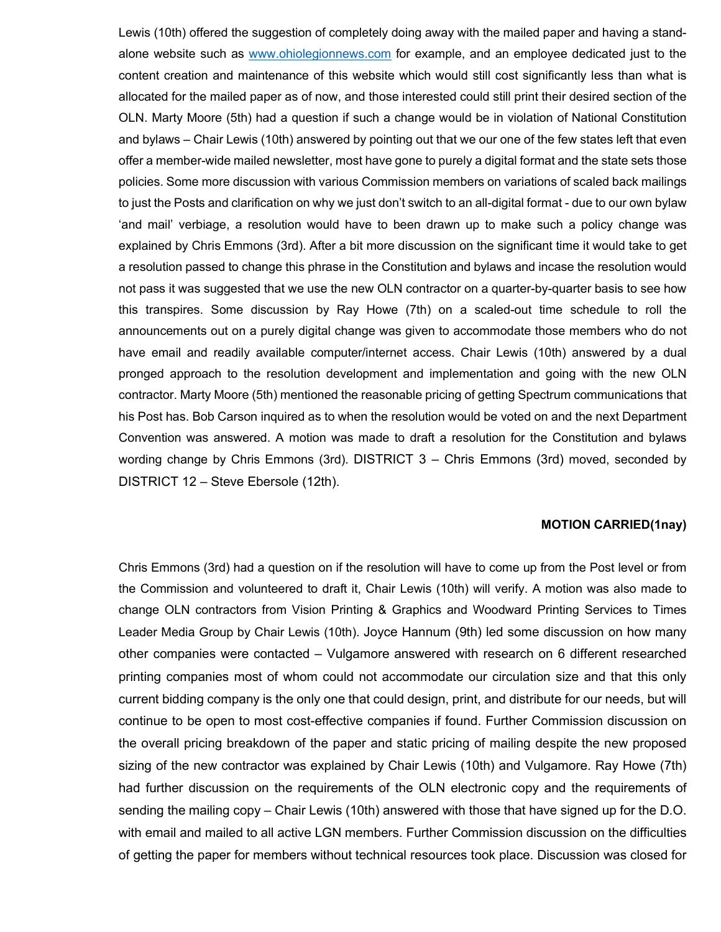Lewis (10th) offered the suggestion of completely doing away with the mailed paper and having a standalone website such as [www.ohiolegionnews.com](http://www.ohiolegionnews.com/) for example, and an employee dedicated just to the content creation and maintenance of this website which would still cost significantly less than what is allocated for the mailed paper as of now, and those interested could still print their desired section of the OLN. Marty Moore (5th) had a question if such a change would be in violation of National Constitution and bylaws – Chair Lewis (10th) answered by pointing out that we our one of the few states left that even offer a member-wide mailed newsletter, most have gone to purely a digital format and the state sets those policies. Some more discussion with various Commission members on variations of scaled back mailings to just the Posts and clarification on why we just don't switch to an all-digital format - due to our own bylaw 'and mail' verbiage, a resolution would have to been drawn up to make such a policy change was explained by Chris Emmons (3rd). After a bit more discussion on the significant time it would take to get a resolution passed to change this phrase in the Constitution and bylaws and incase the resolution would not pass it was suggested that we use the new OLN contractor on a quarter-by-quarter basis to see how this transpires. Some discussion by Ray Howe (7th) on a scaled-out time schedule to roll the announcements out on a purely digital change was given to accommodate those members who do not have email and readily available computer/internet access. Chair Lewis (10th) answered by a dual pronged approach to the resolution development and implementation and going with the new OLN contractor. Marty Moore (5th) mentioned the reasonable pricing of getting Spectrum communications that his Post has. Bob Carson inquired as to when the resolution would be voted on and the next Department Convention was answered. A motion was made to draft a resolution for the Constitution and bylaws wording change by Chris Emmons (3rd). DISTRICT 3 – Chris Emmons (3rd) moved, seconded by DISTRICT 12 – Steve Ebersole (12th).

#### **MOTION CARRIED(1nay)**

Chris Emmons (3rd) had a question on if the resolution will have to come up from the Post level or from the Commission and volunteered to draft it, Chair Lewis (10th) will verify. A motion was also made to change OLN contractors from Vision Printing & Graphics and Woodward Printing Services to Times Leader Media Group by Chair Lewis (10th). Joyce Hannum (9th) led some discussion on how many other companies were contacted – Vulgamore answered with research on 6 different researched printing companies most of whom could not accommodate our circulation size and that this only current bidding company is the only one that could design, print, and distribute for our needs, but will continue to be open to most cost-effective companies if found. Further Commission discussion on the overall pricing breakdown of the paper and static pricing of mailing despite the new proposed sizing of the new contractor was explained by Chair Lewis (10th) and Vulgamore. Ray Howe (7th) had further discussion on the requirements of the OLN electronic copy and the requirements of sending the mailing copy – Chair Lewis (10th) answered with those that have signed up for the D.O. with email and mailed to all active LGN members. Further Commission discussion on the difficulties of getting the paper for members without technical resources took place. Discussion was closed for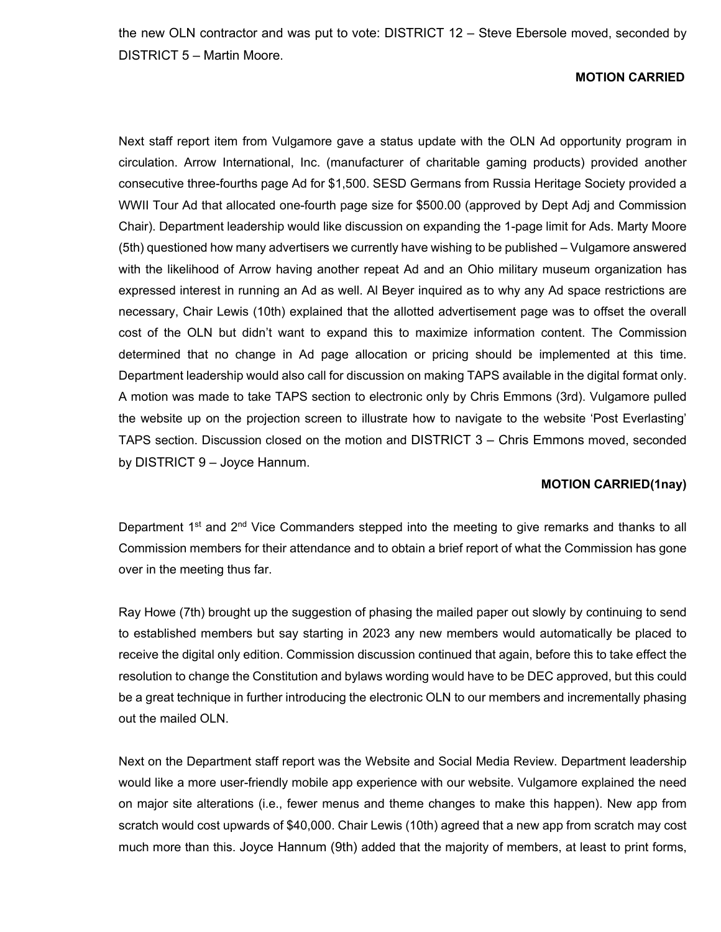the new OLN contractor and was put to vote: DISTRICT 12 – Steve Ebersole moved, seconded by DISTRICT 5 – Martin Moore.

### **MOTION CARRIED**

Next staff report item from Vulgamore gave a status update with the OLN Ad opportunity program in circulation. Arrow International, Inc. (manufacturer of charitable gaming products) provided another consecutive three-fourths page Ad for \$1,500. SESD Germans from Russia Heritage Society provided a WWII Tour Ad that allocated one-fourth page size for \$500.00 (approved by Dept Adj and Commission Chair). Department leadership would like discussion on expanding the 1-page limit for Ads. Marty Moore (5th) questioned how many advertisers we currently have wishing to be published – Vulgamore answered with the likelihood of Arrow having another repeat Ad and an Ohio military museum organization has expressed interest in running an Ad as well. Al Beyer inquired as to why any Ad space restrictions are necessary, Chair Lewis (10th) explained that the allotted advertisement page was to offset the overall cost of the OLN but didn't want to expand this to maximize information content. The Commission determined that no change in Ad page allocation or pricing should be implemented at this time. Department leadership would also call for discussion on making TAPS available in the digital format only. A motion was made to take TAPS section to electronic only by Chris Emmons (3rd). Vulgamore pulled the website up on the projection screen to illustrate how to navigate to the website 'Post Everlasting' TAPS section. Discussion closed on the motion and DISTRICT 3 – Chris Emmons moved, seconded by DISTRICT 9 – Joyce Hannum.

## **MOTION CARRIED(1nay)**

Department 1<sup>st</sup> and 2<sup>nd</sup> Vice Commanders stepped into the meeting to give remarks and thanks to all Commission members for their attendance and to obtain a brief report of what the Commission has gone over in the meeting thus far.

Ray Howe (7th) brought up the suggestion of phasing the mailed paper out slowly by continuing to send to established members but say starting in 2023 any new members would automatically be placed to receive the digital only edition. Commission discussion continued that again, before this to take effect the resolution to change the Constitution and bylaws wording would have to be DEC approved, but this could be a great technique in further introducing the electronic OLN to our members and incrementally phasing out the mailed OLN.

Next on the Department staff report was the Website and Social Media Review. Department leadership would like a more user-friendly mobile app experience with our website. Vulgamore explained the need on major site alterations (i.e., fewer menus and theme changes to make this happen). New app from scratch would cost upwards of \$40,000. Chair Lewis (10th) agreed that a new app from scratch may cost much more than this. Joyce Hannum (9th) added that the majority of members, at least to print forms,